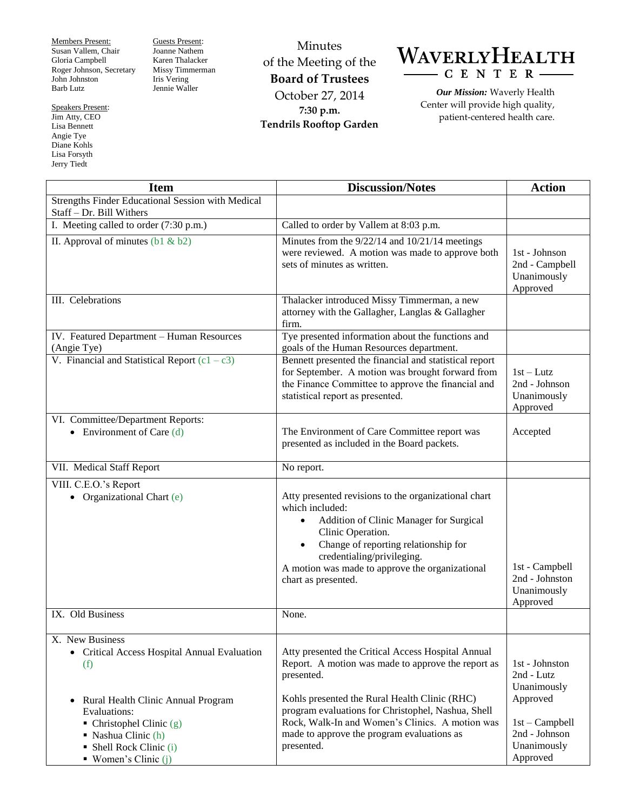Members Present: Susan Vallem, Chair Gloria Campbell Roger Johnson, Secretary John Johnston Barb Lutz

Speakers Present: Jim Atty, CEO Lisa Bennett Angie Tye Diane Kohls Lisa Forsyth Jerry Tiedt

Guests Present: Joanne Nathem Karen Thalacker Missy Timmerman Iris Vering Jennie Waller

Minutes of the Meeting of the **Board of Trustees** October 27, 2014 **7:30 p.m. Tendrils Rooftop Garden**



*Our Mission:* Waverly Health Center will provide high quality, patient-centered health care.

| <b>Item</b>                                                                                                                               | <b>Discussion/Notes</b>                                                                                                                                                                                                                                                                                           | <b>Action</b>                                                |
|-------------------------------------------------------------------------------------------------------------------------------------------|-------------------------------------------------------------------------------------------------------------------------------------------------------------------------------------------------------------------------------------------------------------------------------------------------------------------|--------------------------------------------------------------|
| Strengths Finder Educational Session with Medical<br>Staff - Dr. Bill Withers                                                             |                                                                                                                                                                                                                                                                                                                   |                                                              |
| I. Meeting called to order (7:30 p.m.)                                                                                                    | Called to order by Vallem at 8:03 p.m.                                                                                                                                                                                                                                                                            |                                                              |
| II. Approval of minutes $(b1 & b2)$                                                                                                       | Minutes from the 9/22/14 and 10/21/14 meetings<br>were reviewed. A motion was made to approve both<br>sets of minutes as written.                                                                                                                                                                                 | 1st - Johnson<br>2nd - Campbell<br>Unanimously<br>Approved   |
| III. Celebrations                                                                                                                         | Thalacker introduced Missy Timmerman, a new<br>attorney with the Gallagher, Langlas & Gallagher<br>firm.                                                                                                                                                                                                          |                                                              |
| IV. Featured Department - Human Resources<br>(Angie Tye)                                                                                  | Tye presented information about the functions and<br>goals of the Human Resources department.                                                                                                                                                                                                                     |                                                              |
| V. Financial and Statistical Report $(c1 - c3)$                                                                                           | Bennett presented the financial and statistical report<br>for September. A motion was brought forward from<br>the Finance Committee to approve the financial and<br>statistical report as presented.                                                                                                              | $1st-Lutz$<br>2nd - Johnson<br>Unanimously<br>Approved       |
| VI. Committee/Department Reports:<br>• Environment of Care $(d)$                                                                          | The Environment of Care Committee report was<br>presented as included in the Board packets.                                                                                                                                                                                                                       | Accepted                                                     |
| VII. Medical Staff Report                                                                                                                 | No report.                                                                                                                                                                                                                                                                                                        |                                                              |
| VIII. C.E.O.'s Report<br>Organizational Chart (e)                                                                                         | Atty presented revisions to the organizational chart<br>which included:<br>Addition of Clinic Manager for Surgical<br>$\bullet$<br>Clinic Operation.<br>Change of reporting relationship for<br>$\bullet$<br>credentialing/privileging.<br>A motion was made to approve the organizational<br>chart as presented. | 1st - Campbell<br>2nd - Johnston<br>Unanimously<br>Approved  |
| IX. Old Business                                                                                                                          | None.                                                                                                                                                                                                                                                                                                             |                                                              |
| X. New Business<br>• Critical Access Hospital Annual Evaluation<br>(f)<br>Rural Health Clinic Annual Program<br>$\bullet$<br>Evaluations: | Atty presented the Critical Access Hospital Annual<br>Report. A motion was made to approve the report as<br>presented.<br>Kohls presented the Rural Health Clinic (RHC)<br>program evaluations for Christophel, Nashua, Shell                                                                                     | 1st - Johnston<br>2nd - Lutz<br>Unanimously<br>Approved      |
| $\blacksquare$ Christophel Clinic (g)<br>$\blacksquare$ Nashua Clinic (h)<br>• Shell Rock Clinic (i)<br>$\blacksquare$ Women's Clinic (j) | Rock, Walk-In and Women's Clinics. A motion was<br>made to approve the program evaluations as<br>presented.                                                                                                                                                                                                       | $1st - Campbell$<br>2nd - Johnson<br>Unanimously<br>Approved |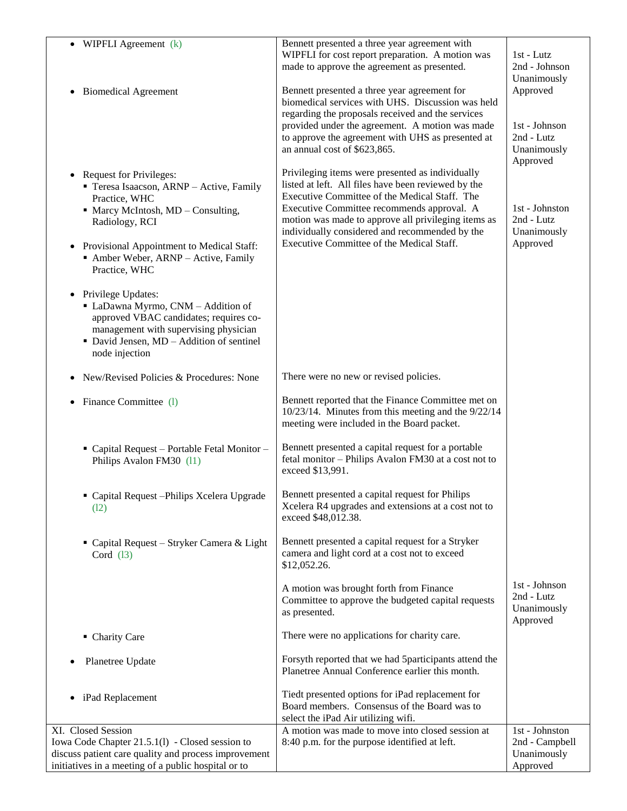| WIPFLI Agreement (k)                                                                                                                                                                                         | Bennett presented a three year agreement with<br>WIPFLI for cost report preparation. A motion was<br>made to approve the agreement as presented.             | 1st - Lutz<br>2nd - Johnson<br>Unanimously             |
|--------------------------------------------------------------------------------------------------------------------------------------------------------------------------------------------------------------|--------------------------------------------------------------------------------------------------------------------------------------------------------------|--------------------------------------------------------|
| • Biomedical Agreement                                                                                                                                                                                       | Bennett presented a three year agreement for<br>biomedical services with UHS. Discussion was held<br>regarding the proposals received and the services       | Approved                                               |
|                                                                                                                                                                                                              | provided under the agreement. A motion was made<br>to approve the agreement with UHS as presented at<br>an annual cost of \$623,865.                         | 1st - Johnson<br>2nd - Lutz<br>Unanimously<br>Approved |
| • Request for Privileges:<br>Teresa Isaacson, ARNP - Active, Family<br>Practice, WHC                                                                                                                         | Privileging items were presented as individually<br>listed at left. All files have been reviewed by the<br>Executive Committee of the Medical Staff. The     |                                                        |
| • Marcy McIntosh, MD - Consulting,<br>Radiology, RCI                                                                                                                                                         | Executive Committee recommends approval. A<br>motion was made to approve all privileging items as<br>individually considered and recommended by the          | 1st - Johnston<br>2nd - Lutz<br>Unanimously            |
| • Provisional Appointment to Medical Staff:<br>• Amber Weber, ARNP - Active, Family<br>Practice, WHC                                                                                                         | Executive Committee of the Medical Staff.                                                                                                                    | Approved                                               |
| • Privilege Updates:<br>• LaDawna Myrmo, CNM - Addition of<br>approved VBAC candidates; requires co-<br>management with supervising physician<br>• David Jensen, MD - Addition of sentinel<br>node injection |                                                                                                                                                              |                                                        |
| New/Revised Policies & Procedures: None                                                                                                                                                                      | There were no new or revised policies.                                                                                                                       |                                                        |
| Finance Committee (1)                                                                                                                                                                                        | Bennett reported that the Finance Committee met on<br>$10/23/14$ . Minutes from this meeting and the $9/22/14$<br>meeting were included in the Board packet. |                                                        |
| " Capital Request - Portable Fetal Monitor -<br>Philips Avalon FM30 (11)                                                                                                                                     | Bennett presented a capital request for a portable<br>fetal monitor - Philips Avalon FM30 at a cost not to<br>exceed \$13,991.                               |                                                        |
| Capital Request - Philips Xcelera Upgrade<br>(12)                                                                                                                                                            | Bennett presented a capital request for Philips<br>Xcelera R4 upgrades and extensions at a cost not to<br>exceed \$48,012.38.                                |                                                        |
| • Capital Request – Stryker Camera & Light<br>Cord $(13)$                                                                                                                                                    | Bennett presented a capital request for a Stryker<br>camera and light cord at a cost not to exceed<br>\$12,052.26.                                           |                                                        |
|                                                                                                                                                                                                              | A motion was brought forth from Finance<br>Committee to approve the budgeted capital requests<br>as presented.                                               | 1st - Johnson<br>2nd - Lutz<br>Unanimously<br>Approved |
| • Charity Care                                                                                                                                                                                               | There were no applications for charity care.                                                                                                                 |                                                        |
| Planetree Update                                                                                                                                                                                             | Forsyth reported that we had 5participants attend the<br>Planetree Annual Conference earlier this month.                                                     |                                                        |
| • iPad Replacement                                                                                                                                                                                           | Tiedt presented options for iPad replacement for<br>Board members. Consensus of the Board was to<br>select the iPad Air utilizing wifi.                      |                                                        |
| XI. Closed Session                                                                                                                                                                                           | A motion was made to move into closed session at                                                                                                             | 1st - Johnston                                         |
| Iowa Code Chapter 21.5.1(1) - Closed session to                                                                                                                                                              | 8:40 p.m. for the purpose identified at left.                                                                                                                | 2nd - Campbell                                         |
| discuss patient care quality and process improvement<br>initiatives in a meeting of a public hospital or to                                                                                                  |                                                                                                                                                              | Unanimously<br>Approved                                |